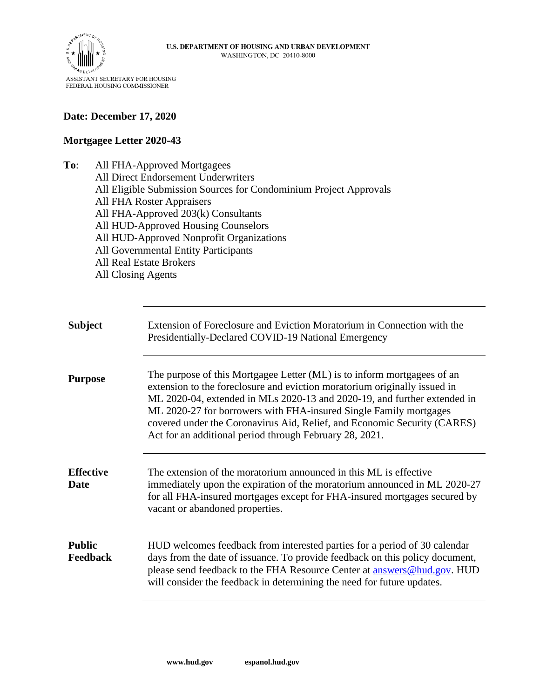

## **Date: December 17, 2020**

## **Mortgagee Letter 2020-43**

**To**: All FHA-Approved Mortgagees All Direct Endorsement Underwriters All Eligible Submission Sources for Condominium Project Approvals All FHA Roster Appraisers All FHA-Approved 203(k) Consultants All HUD-Approved Housing Counselors All HUD-Approved Nonprofit Organizations All Governmental Entity Participants All Real Estate Brokers All Closing Agents

| <b>Subject</b>                   | Extension of Foreclosure and Eviction Moratorium in Connection with the<br>Presidentially-Declared COVID-19 National Emergency                                                                                                                                                                                                                                                                                                               |
|----------------------------------|----------------------------------------------------------------------------------------------------------------------------------------------------------------------------------------------------------------------------------------------------------------------------------------------------------------------------------------------------------------------------------------------------------------------------------------------|
| <b>Purpose</b>                   | The purpose of this Mortgagee Letter (ML) is to inform mortgagees of an<br>extension to the foreclosure and eviction moratorium originally issued in<br>ML 2020-04, extended in MLs 2020-13 and 2020-19, and further extended in<br>ML 2020-27 for borrowers with FHA-insured Single Family mortgages<br>covered under the Coronavirus Aid, Relief, and Economic Security (CARES)<br>Act for an additional period through February 28, 2021. |
| <b>Effective</b><br>Date         | The extension of the moratorium announced in this ML is effective<br>immediately upon the expiration of the moratorium announced in ML 2020-27<br>for all FHA-insured mortgages except for FHA-insured mortgages secured by<br>vacant or abandoned properties.                                                                                                                                                                               |
| <b>Public</b><br><b>Feedback</b> | HUD welcomes feedback from interested parties for a period of 30 calendar<br>days from the date of issuance. To provide feedback on this policy document,<br>please send feedback to the FHA Resource Center at answers@hud.gov. HUD<br>will consider the feedback in determining the need for future updates.                                                                                                                               |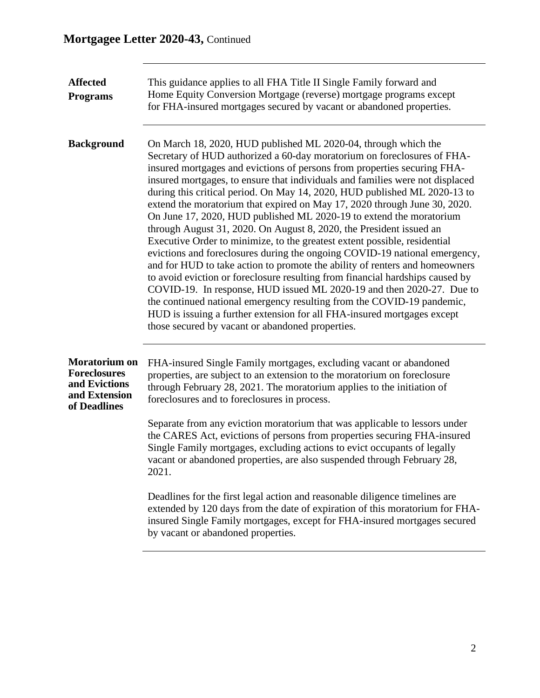| <b>Affected</b><br><b>Programs</b>                                                     | This guidance applies to all FHA Title II Single Family forward and<br>Home Equity Conversion Mortgage (reverse) mortgage programs except<br>for FHA-insured mortgages secured by vacant or abandoned properties.                                                                                                                                                                                                                                                                                                                                                                                                                                                                                                                                                                                                                                                                                                                                                                                                                                                                                                                                                                                                           |
|----------------------------------------------------------------------------------------|-----------------------------------------------------------------------------------------------------------------------------------------------------------------------------------------------------------------------------------------------------------------------------------------------------------------------------------------------------------------------------------------------------------------------------------------------------------------------------------------------------------------------------------------------------------------------------------------------------------------------------------------------------------------------------------------------------------------------------------------------------------------------------------------------------------------------------------------------------------------------------------------------------------------------------------------------------------------------------------------------------------------------------------------------------------------------------------------------------------------------------------------------------------------------------------------------------------------------------|
| <b>Background</b>                                                                      | On March 18, 2020, HUD published ML 2020-04, through which the<br>Secretary of HUD authorized a 60-day moratorium on foreclosures of FHA-<br>insured mortgages and evictions of persons from properties securing FHA-<br>insured mortgages, to ensure that individuals and families were not displaced<br>during this critical period. On May 14, 2020, HUD published ML 2020-13 to<br>extend the moratorium that expired on May 17, 2020 through June 30, 2020.<br>On June 17, 2020, HUD published ML 2020-19 to extend the moratorium<br>through August 31, 2020. On August 8, 2020, the President issued an<br>Executive Order to minimize, to the greatest extent possible, residential<br>evictions and foreclosures during the ongoing COVID-19 national emergency,<br>and for HUD to take action to promote the ability of renters and homeowners<br>to avoid eviction or foreclosure resulting from financial hardships caused by<br>COVID-19. In response, HUD issued ML 2020-19 and then 2020-27. Due to<br>the continued national emergency resulting from the COVID-19 pandemic,<br>HUD is issuing a further extension for all FHA-insured mortgages except<br>those secured by vacant or abandoned properties. |
| Moratorium on<br><b>Foreclosures</b><br>and Evictions<br>and Extension<br>of Deadlines | FHA-insured Single Family mortgages, excluding vacant or abandoned<br>properties, are subject to an extension to the moratorium on foreclosure<br>through February 28, 2021. The moratorium applies to the initiation of<br>foreclosures and to foreclosures in process.                                                                                                                                                                                                                                                                                                                                                                                                                                                                                                                                                                                                                                                                                                                                                                                                                                                                                                                                                    |
|                                                                                        | Separate from any eviction moratorium that was applicable to lessors under<br>the CARES Act, evictions of persons from properties securing FHA-insured<br>Single Family mortgages, excluding actions to evict occupants of legally<br>vacant or abandoned properties, are also suspended through February 28,<br>2021.                                                                                                                                                                                                                                                                                                                                                                                                                                                                                                                                                                                                                                                                                                                                                                                                                                                                                                      |
|                                                                                        | Deadlines for the first legal action and reasonable diligence timelines are<br>extended by 120 days from the date of expiration of this moratorium for FHA-<br>insured Single Family mortgages, except for FHA-insured mortgages secured<br>by vacant or abandoned properties.                                                                                                                                                                                                                                                                                                                                                                                                                                                                                                                                                                                                                                                                                                                                                                                                                                                                                                                                              |